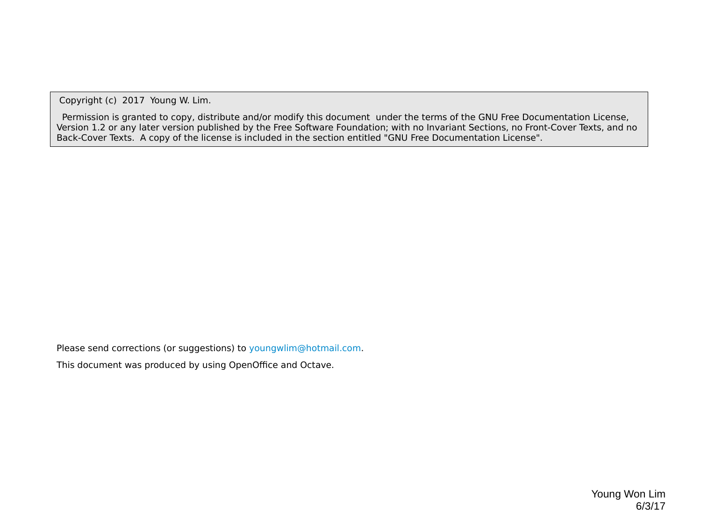Copyright (c) 2017 Young W. Lim.

 Permission is granted to copy, distribute and/or modify this document under the terms of the GNU Free Documentation License, Version 1.2 or any later version published by the Free Software Foundation; with no Invariant Sections, no Front-Cover Texts, and no Back-Cover Texts. A copy of the license is included in the section entitled "GNU Free Documentation License".

Please send corrections (or suggestions) to [youngwlim@hotmail.com](mailto:youngwlim@hotmail.com).

This document was produced by using OpenOffice and Octave.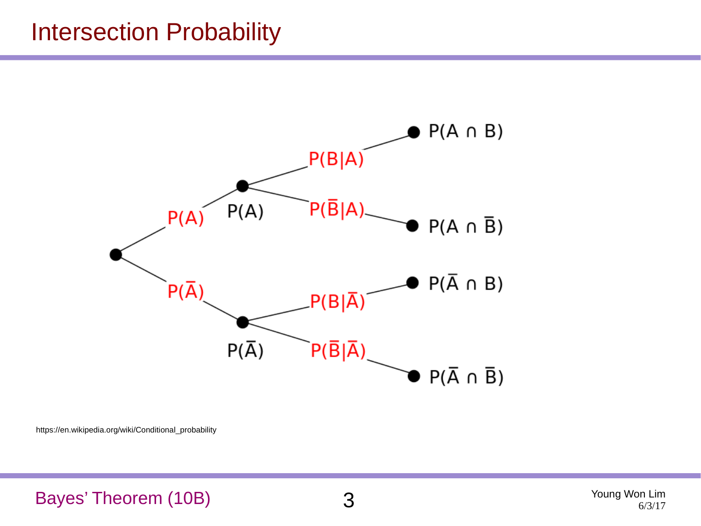### Intersection Probability



https://en.wikipedia.org/wiki/Conditional\_probability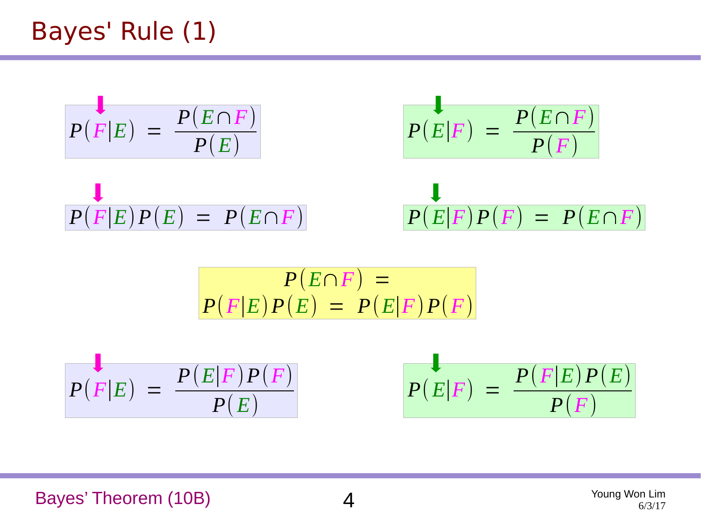$$
P(F|E) = \frac{P(E \cap F)}{P(E)}
$$
  
\n
$$
P(F|E)P(E) = P(E \cap F)
$$
  
\n
$$
P(E|F)P(F) = P(E \cap F)
$$
  
\n
$$
P(E|F)P(F) = P(E \cap F)
$$

$$
P(E \cap F) =
$$
  

$$
P(F|E)P(E) = P(E|F)P(F)
$$

$$
P(F|E) = \frac{P(E|F)P(F)}{P(E)} \qquad P(E|F) = \frac{P(F|E)P(E)}{P(F)}
$$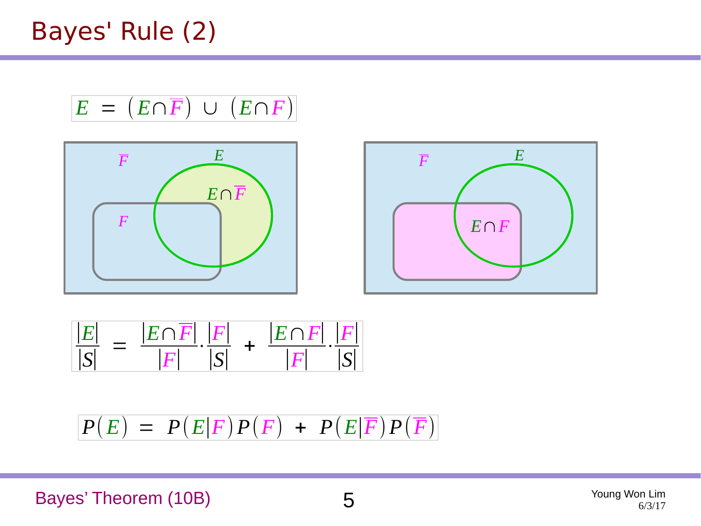Bayes' Rule (2)

$$
E = (E \cap \overline{F}) \cup (E \cap F)
$$





$$
\frac{|E|}{|S|} = \frac{|E \cap \overline{F}|}{|F|} \cdot \frac{|F|}{|S|} + \frac{|E \cap F|}{|F|} \cdot \frac{|F|}{|S|}
$$

$$
P(E) = P(E|F)P(F) + P(E|\overline{F})P(\overline{F})
$$

Bayes' Theorem (10B) 5

Young Won Lim 6/3/17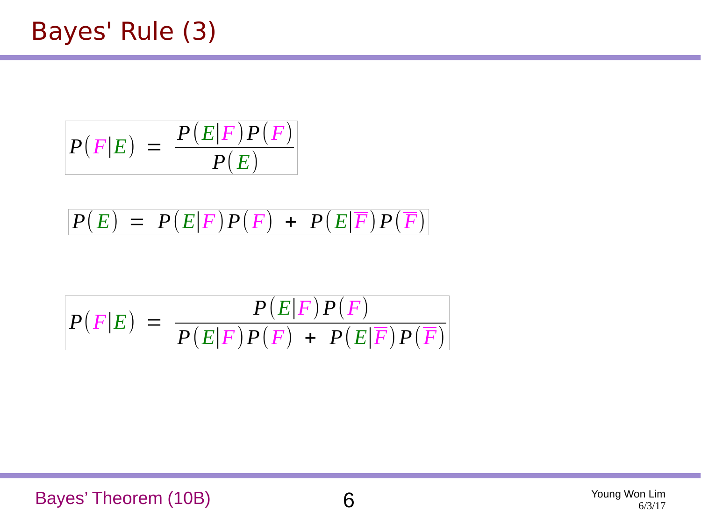$$
P(F|E) = \frac{P(E|F)P(F)}{P(E)}
$$

$$
P(E) = P(E|F)P(F) + P(E|\overline{F})P(\overline{F})
$$

$$
P(F|E) = \frac{P(E|F)P(F)}{P(E|F)P(F) + P(E|\overline{F})P(\overline{F})}
$$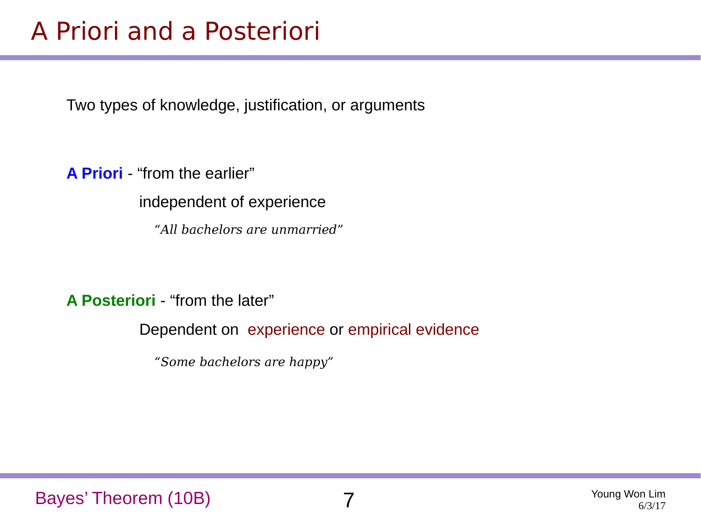### A Priori and a Posteriori

Two types of knowledge, justification, or arguments

**A Priori** - "from the earlier"

independent of experience

*"All bachelors are unmarried"*

**A Posteriori** - "from the later"

Dependent on experience or empirical evidence

*"Some bachelors are happy"*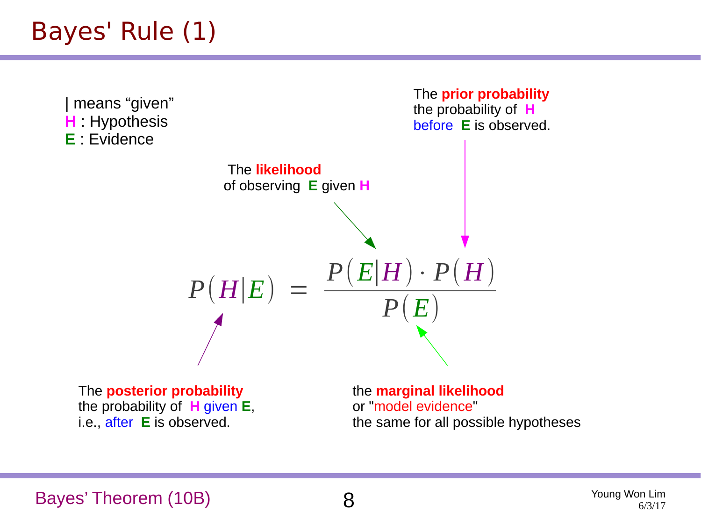### Bayes' Rule (1)



Bayes' Theorem (10B) 8

Young Won Lim 6/3/17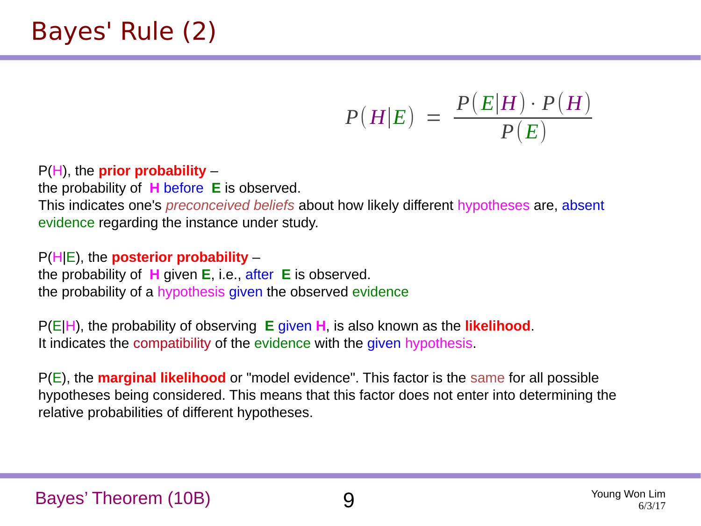### Bayes' Rule (2)

$$
P(H|E) = \frac{P(E|H) \cdot P(H)}{P(E)}
$$

P(H), the **prior probability** –

the probability of **H** before **E** is observed.

This indicates one's *preconceived beliefs* about how likely different hypotheses are, absent evidence regarding the instance under study.

P(H|E), the **posterior probability** –

the probability of **H** given **E**, i.e., after **E** is observed. the probability of a hypothesis given the observed evidence

P(E|H), the probability of observing **E** given **H**, is also known as the **likelihood**. It indicates the compatibility of the evidence with the given hypothesis.

P(E), the **marginal likelihood** or "model evidence". This factor is the same for all possible hypotheses being considered. This means that this factor does not enter into determining the relative probabilities of different hypotheses.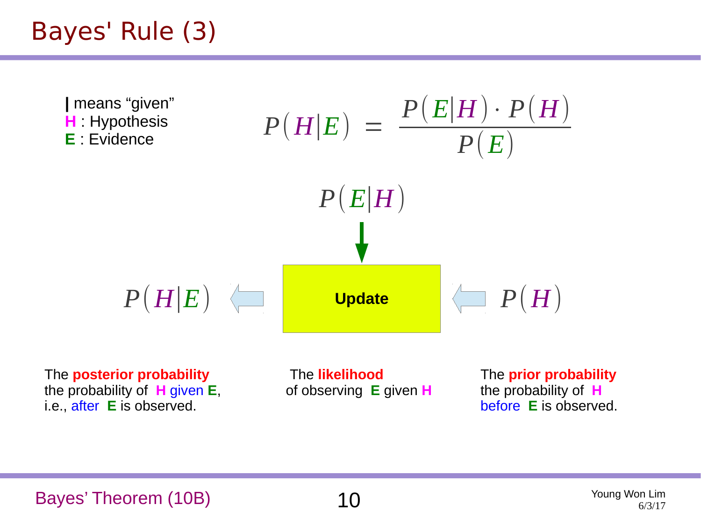### Bayes' Rule (3)

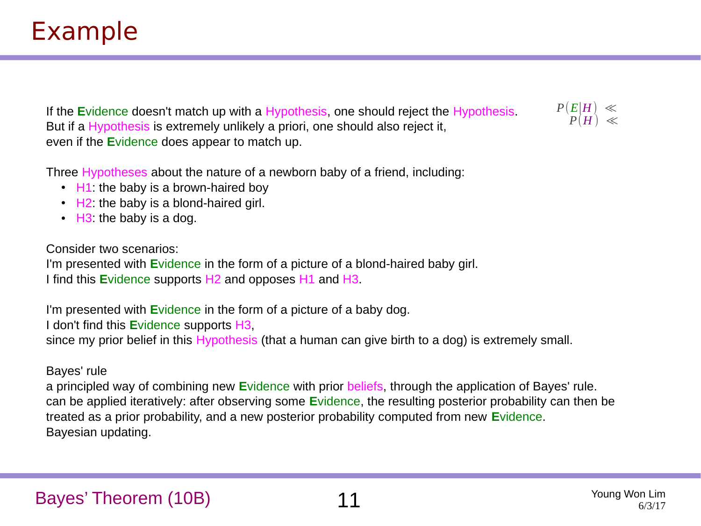If the **E**vidence doesn't match up with a Hypothesis, one should reject the Hypothesis. But if a Hypothesis is extremely unlikely a priori, one should also reject it, even if the **E**vidence does appear to match up.

Three Hypotheses about the nature of a newborn baby of a friend, including:

- $\cdot$  H1: the baby is a brown-haired boy
- $\cdot$  H2: the baby is a blond-haired girl.
- $\cdot$  H3: the baby is a dog.

Consider two scenarios:

I'm presented with **E**vidence in the form of a picture of a blond-haired baby girl. I find this **E**vidence supports H2 and opposes H1 and H3.

I'm presented with **E**vidence in the form of a picture of a baby dog.

I don't find this **E**vidence supports H3,

since my prior belief in this Hypothesis (that a human can give birth to a dog) is extremely small.

#### Bayes' rule

a principled way of combining new **E**vidence with prior beliefs, through the application of Bayes' rule. can be applied iteratively: after observing some **E**vidence, the resulting posterior probability can then be treated as a prior probability, and a new posterior probability computed from new **E**vidence. Bayesian updating.

 $P(H) \; \ll$ *P*(*E*∣*H*) ≪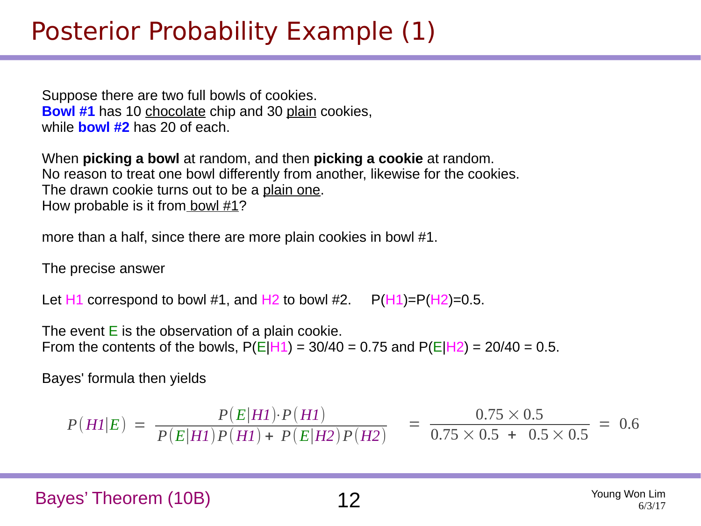### Posterior Probability Example (1)

Suppose there are two full bowls of cookies. **Bowl #1** has 10 chocolate chip and 30 plain cookies, while **bowl #2** has 20 of each.

When **picking a bowl** at random, and then **picking a cookie** at random. No reason to treat one bowl differently from another, likewise for the cookies. The drawn cookie turns out to be a plain one. How probable is it from bowl #1?

more than a half, since there are more plain cookies in bowl #1.

The precise answer

Let  $H1$  correspond to bowl #1, and  $H2$  to bowl #2.  $P(H1)=P(H2)=0.5$ .

The event  $E$  is the observation of a plain cookie. From the contents of the bowls,  $P(E|H1) = 30/40 = 0.75$  and  $P(E|H2) = 20/40 = 0.5$ .

Bayes' formula then yields

$$
P(H1|E) = \frac{P(E|H1) \cdot P(H1)}{P(E|H1)P(H1) + P(E|H2)P(H2)} = \frac{0.75 \times 0.5}{0.75 \times 0.5 + 0.5 \times 0.5} = 0.6
$$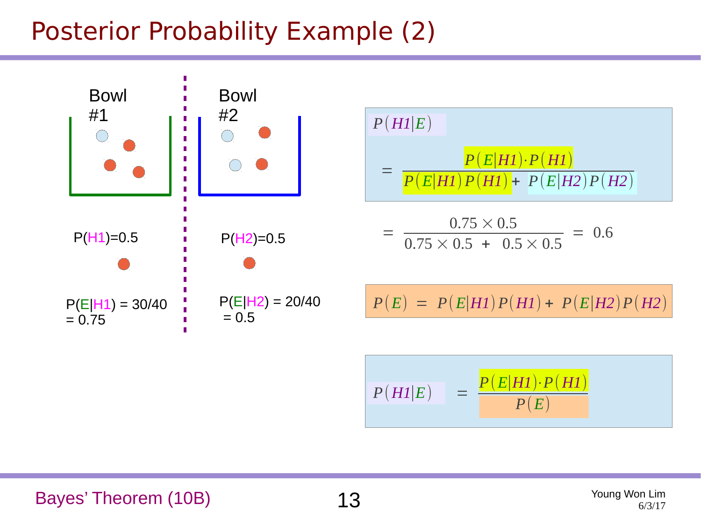## Posterior Probability Example (2)

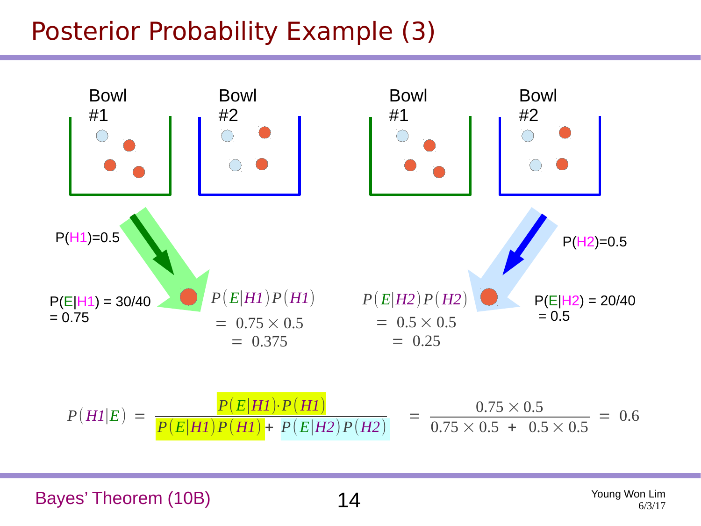### Posterior Probability Example (3)



Bayes' Theorem (10B)  $14$  Young Won Lim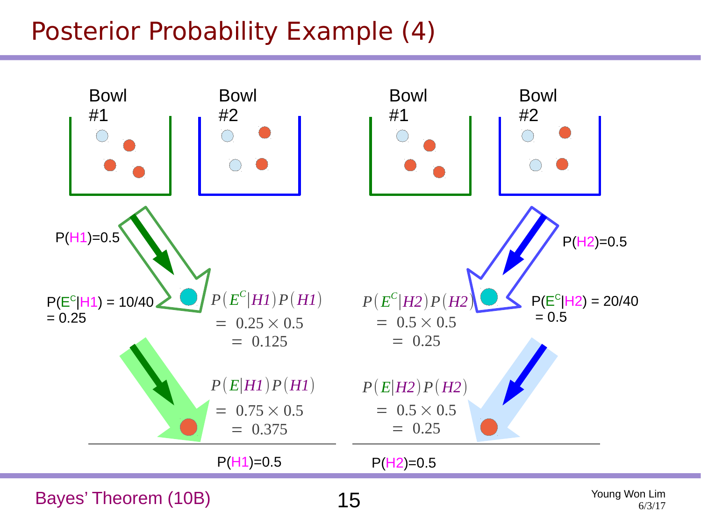### Posterior Probability Example (4)